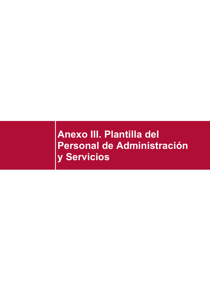# **Anexo III. Plantilla del Personal de Administración y Servicios**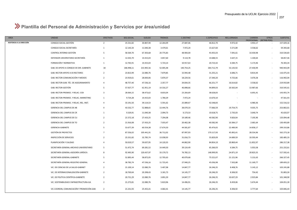### **Plantilla del Personal de Administración y Servicios por área/unidad**

| AREA                      | <b>UNIDAD</b>                             | <b>EFECTIVOS</b>        | SEG.SOCIAL | <b>SUELDO</b> | <b>TRIENIOS</b> | C.DESTINO  | <b>C.ESPECIFICO</b> | REG.JORNADA | CARRERA<br>PROFESIONAL (RETRIB.PERS) | <b>OTROS</b> | <b>SUBTOTAL</b> |
|---------------------------|-------------------------------------------|-------------------------|------------|---------------|-----------------|------------|---------------------|-------------|--------------------------------------|--------------|-----------------|
| ASISTENCIA A LA DIRECCIÓN | CONSEJO SOCIAL-GESTIÓN                    | $\overline{2}$          | 25.531,82  | 30.807,90     | 12.264,09       | 27.687,06  | 46.812,70           | 9.972,42    | 3.953,17                             | $\sim$       | 157.029,16      |
|                           | CONSEJO SOCIAL-SECRETARÍA                 | 1                       | 12.143,34  | 11.040,38     | 3.479,61        | 7.972,24   | 15.627,60           | 5.571,89    | 3.558,62                             | $\sim$       | 59.393,68       |
|                           | CONTROL INTERNO-GESTIÓN                   | 5                       | 58.569,70  | 67.303,68     | 20.775,83       | 48.904,00  | 93.455,03           | 7.091,61    | 14.430,98                            | $\sim$       | 310.530,83      |
|                           | DEFENSOR UNIVERSITARIO-SECRETARÍA         | 1                       | 12.033,70  | 14.415,03     | 3.857,60        | 9.114,78   | 14.688,55           | 3.647,15    | 1.100,64                             | $\sim$       | 58.857,46       |
|                           | FORMACIÓN Y NORMATIVA                     | 1                       | 12.765,91  | 14.415,03     | 5.723,14        | 10.917,63  | 20.723,42           | 6.584,75    | 5.173,46                             | $\sim$       | 76.303,34       |
|                           | GAB. DE APOYO A CONSEJO DE DIR.-GABINETE  | 18                      | 186.998,11 | 215.905,56    | 52.005,48       | 140.754,25 | 264.712,79          | 53.135,92   | 27.430,99                            | $\sim$       | 940.943,09      |
|                           | GAB. RECTOR-APOYO A EX RECTORES           | $\overline{2}$          | 23.813,99  | 22.080,76     | 7.879,85        | 15.944,48  | 31.255,21           | 6.686,71    | 8.814,44                             | $\sim$       | 116.475,43      |
|                           | GAB. RECTOR-COMUNICACIÓN Y MEDIOS         | $\overline{2}$          | 23.919,61  | 28.830,06     | 5.870,37        | 18.229,56  | 27.340,20           | 9.725,66    | 3.076,58                             | $\sim$       | 116.992,04      |
|                           | GAB. RECTOR-GAB. TÉC. DE ASESORAMIENTO    | $\overline{4}$          | 48.757,40  | 47.536,16     | 2.357,77        | 34.834,35  | 66.251,77           | 16.614,82   | 3.558,62                             | $\sim$       | 219.910,89      |
|                           | GAB. RECTOR-GESTIÓN                       | 5                       | 57.927,77  | 61.951,19     | 14.316,27       | 46.898,66  | 94.899,03           | 20.565,04   | 13.987,66                            | $\sim$       | 310.545,61      |
|                           | GAB. RECTOR-PROMOC. Y RELAC.-CIDI         | $\overline{\mathbf{3}}$ | 28.064,15  | 38.473,62     | 8.833,04        | 23.264,69  | 38.628,83           | $\sim$      | 6.691,41                             | $\sim$       | 143.955,74      |
|                           | GAB. RECTOR-PROMOC. Y RELAC.-MARKETING    | 1                       | 9.724,28   | 14.415,03     | 1.780,29        | 7.972,24   | 13.670,10           | $\sim$      | $\sim$                               | $\sim$       | 47.561,93       |
|                           | GAB. RECTOR-PROMOC. Y RELAC.-REL. INST.   | $\overline{4}$          | 33.191,50  | 39.114,53     | 5.591,62        | 25.089,67  | 42.548,83           | $\sim$      | 6.980,36                             | $\sim$       | 152.516,52      |
|                           | GERENCIA DEL CAMPUS DE AB                 | $\overline{4}$          | 43.532,77  | 52.888,65     | 13.444,76       | 38.079,33  | 77.066,59           | 19.754,75   | 9.035,75                             | $\sim$       | 253.802,61      |
|                           | GERENCIA DEL CAMPUS DE CR                 | 1                       | 9.329,91   | 11.040,38     | 2.094,73        | 6.173,53   | 10.618,75           | 2.735,03    | 3.640,74                             | $\sim$       | 45.633,07       |
|                           | GERENCIA DEL CAMPUS DE CU                 | $\overline{2}$          | 21.572,18  | 27.433,25     | 7.294,08        | 19.189,46  | 40.582,90           | 9.826,64    | 7.195,96                             | $\sim$       | 133.094,48      |
|                           | GERENCIA DEL CAMPUS DE TO                 | $\overline{2}$          | 21.916,08  | 27.433,25     | 7.033,47        | 20.462,38  | 40.582,90           | 10.384,17   | 2.681,64                             | $\sim$       | 130.493,89      |
|                           | GERENCIA-GABINETE                         | 5                       | 53.677,39  | 60.554,38     | 17.674,50       | 44.581,87  | 85.474,65           | 22.489,90   | 14.858,17                            | $\sim$       | 299.310,86      |
|                           | GESTIÓN DE PROYECTOS                      | $\overline{7}$          | 87.556,02  | 105.441,91    | 36.712,02       | 87.997,93  | 170.117,93          | 45.892,41   | 28.554,96                            | $\sim$       | 562.273,18      |
|                           | INSPECCIÓN DE SERVICIOS                   | $\overline{2}$          | 25.531,82  | 32.785,74     | 13.038,93       | 31.016,73  | 55.829,09           | 14.689,59   | 10.593,44                            | ÷            | 183.485,33      |
|                           | PLANIFICACIÓN Y CALIDAD                   | $\overline{4}$          | 50.019,57  | 59.637,95     | 14.120,35       | 44.862,90  | 84.854,19           | 20.869,44   | 11.852,97                            | $\sim$       | 286.217,38      |
|                           | SECRETARÍA GENERAL-ARCHIVO UNIVERSITARIO  | 5                       | 51.472,74  | 69.281,52     | 14.449,50       | 39.124,49  | 65.266,03           | 6.584,75    | 5.053,58                             | $\sim$       | 251.232,61      |
|                           | SECRETARÍA GENERAL-ASESORÍA JURÍDICA      | 8                       | 92.495,90  | 120.437,97    | 33.179,72       | 76.782,13  | 148.999,95          | 24.871,19   | 20.825,55                            | $\sim$       | 517.592,41      |
|                           | SECRETARÍA GENERAL-GABINETE               | 5                       | 52.895,44  | 58.872,05     | 12.705,63       | 40.079,68  | 75.521,07           | 21.121,96   | 5.131,63                             | $\sim$       | 266.327,45      |
|                           | SECRETARÍA GENERAL-REGISTRO GENERAL       | $\overline{4}$          | 38.783,74  | 47.536,16     | 11.723,45       | 27.940,25  | 45.036,98           | 7.502,88    | 11.169,77                            | $\sim$       | 189.693,22      |
|                           | VIC. DE CIENCIAS DE LA SALUD-GABINET      | $\overline{2}$          | 21.109,14  | 22.080,76     | 5.407,98        | 14.847,77  | 26.246,35           | 8.408,76    | 5.145,12                             | $\sim$       | 103.245,88      |
|                           | VIC. DE INTERNACIONALIZACIÓN-GABINETE     | $\overline{2}$          | 18.769,64  | 20.398,43     | 3.181,73        | 14.145,77  | 26.246,35           | 8.306,92    | 754,42                               | $\sim$       | 91.803,26       |
|                           | VIC. DE POLÍTICA CIENTÍFICA-GABINETE      | $\overline{2}$          | 20.721,29  | 22.080,76     | 3.891,59        | 14.847,77  | 26.246,35           | 10.637,29   | 2.923,84                             | $\sim$       | 101.348,90      |
|                           | VIC. SOSTENIBILIDAD E INFRAESTRUCTURA-GA  | $\overline{2}$          | 21.273,81  | 22.080,76     | 5.819,96        | 14.496,91  | 26.246,35           | 8.459,06    | 5.674,44                             | $\sim$       | 104.051,30      |
|                           | VIC.COORDIN, COMUNICACIÓN Y PROMOCIÓN-GAB | $\overline{2}$          | 21.231,93  | 25.455,41     | 4.682,41        | 14.145,77  | 26.246,35           | 8.306,92    | 3.777,64                             | $\sim$       | 103.846,43      |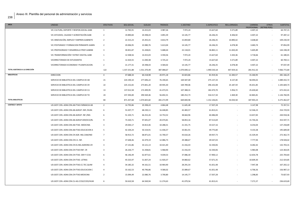| AREA                            | <b>UNIDAD</b>                             | <b>EFECTIVOS</b>        | SEG.SOCIAL   | <b>SUELDO</b> | <b>TRIENIOS</b> | <b>C.DESTINO</b> | <b>C.ESPECIFICO</b> | REG.JORNADA | CARRERA<br>PROFESIONAL (RETRIB.PERS) | <b>OTROS</b>             | SUBTOTAL     |
|---------------------------------|-------------------------------------------|-------------------------|--------------|---------------|-----------------|------------------|---------------------|-------------|--------------------------------------|--------------------------|--------------|
|                                 | VIC.CULTURA, DEPORTE Y RESPON.SOCIAL-GABI | 1                       | 12.765,91    | 14.415,03     | 3.987,26        | 7.972,24         | 15.627,60           | 5.571,89    | 4.407,22                             |                          | 64.747,15    |
|                                 | VIC.ESTUDIOS, CALIDAD Y ACREDITACIÓN-GABI | $\overline{2}$          | 19.890,84    | 20.398,43     | 3.891,59        | 14.145,77        | 26.246,35           | 8.306,92    | 4.407,22                             | $\sim$                   | 97.287,12    |
|                                 | VIC.INNOVACIÓN, EMPLEO Y EMPREN-GABINETE  | $\overline{2}$          | 22.315,23    | 25.455,41     | 4.814,79        | 15.859,80        | 26.246,35           | 10.890,42   | 3.648,60                             | $\sim$                   | 109.230,59   |
|                                 | VIC.POSTGRADO Y FORMACION PERMANTE-GABIN  | $\overline{2}$          | 20.006,95    | 22.080,76     | 5.613,04        | 14.145,77        | 26.246,35           | 6.078,38    | 3.683,74                             | $\sim$                   | 97.854,99    |
|                                 | VIC.PROFESORADO Y DESARROLLO PROF-GABINE  | $\overline{\mathbf{3}}$ | 30.831,87    | 31.438,81     | 5.688,44        | 22.118,01        | 36.865,11           | 11.650,28   | 5.605,89                             |                          | 144.198,39   |
|                                 | VIC.TRANSFORMACIÓN Y ESTRAT.DIGITAL-GABI  | 1                       | 12.508,56    | 14.415,03     | 3.594,56        | 7.972,24         | 15.627,60           | 3.343,36    | 3.718,66                             | $\overline{\phantom{a}}$ | 61.180,01    |
|                                 | VICERRECTORADO DE ESTUDIANTES             | $\overline{1}$          | 12.424,55    | 11.040,38     | 3.725,22        | 7.972,24         | 15.627,60           | 5.571,89    | 4.407,22                             | $\sim$                   | 60.769,11    |
|                                 | VICERRECTORADO ECONOMIA Y PLANIFICACION-  | $\overline{2}$          | 21.177,31    | 20.398,43     | 4.584,02        | 14.145,77        | 26.246,35           | 6.078,38    | 4.407,22                             | $\sim$                   | 97.037,49    |
| TOTAL ASISTENCIA A LA DIRECCIÓN |                                           | 122                     | 1.337.251,88 | 1.551.370,49  | 387.088,67      | 1.070.690,12     | 1.990.530,18        | 447.929,16  | 281.912,32                           | $\sim$                   | 7.066.772,84 |
| <b>BIBLIOTECAS</b>              | <b>DIRECCION</b>                          | $\overline{4}$          | 47.688,34    | 60.218,98     | 20.971,18       | 42.823,86        | 81.919,36           | 12.283,57   | 15.260,95                            | $\sim$                   | 281.166,25   |
|                                 | SERVICIO DE BIBLIOTECA DEL CAMPUS DE AB   | 21                      | 224.190,10   | 277.696,22    | 76.190,65       | 169.587,00       | 275.137,33          | 8.137,40    | 58.494,02                            | $\sim$                   | 1.089.432,72 |
|                                 | SERVICIO DE BIBLIOTECA DEL CAMPUS DE CR   | 22                      | 225.152,65   | 273.841,20    | 69.945,30       | 169.789,06       | 296.102,08          | 25.187,59   | 45.651,85                            |                          | 1.105.669,73 |
|                                 | SERVICIO DE BIBLIOTECA DEL CAMPUS DE CU   | 13                      | 137.012,58   | 172.499,95    | 41.473,55       | 107.388,31       | 182.470,70          | 5.956,72    | 25.630,60                            |                          | 672.432,41   |
|                                 | SERVICIO DE BIBLIOTECA DEL CAMPUS DE TO   | 24                      | 237.394,00   | 290.569,46    | 56.692,31       | 180.252,73       | 316.517,34          | 2.469,30    | 42.865,81                            | $\sim$                   | 1.126.760,95 |
| <b>TOTAL BIBLIOTECAS</b>        |                                           | 84                      | 871.437,68   | 1.074.825,82  | 265.272,99      | 669.840,96       | 1.152.146,81        | 54.034,58   | 187.903,23                           | $\sim$                   | 4.275.462,07 |
| <b>CENTROS Y APOYO</b>          | UD.GEST.CEN.-ADM.CEN.AB.FTAD.FARMACIA AB  | 2                       | 14.793,86    | 20.398,43     | 4.864,48        | 11.645,48        | 17.507,28           | $\sim$      | 3.147,98                             | $\sim$                   | 72.357,51    |
|                                 | UD.GEST.CEN.-ADM.CEN.AB-AGRUP. ENF./HUM.  | 6                       | 53.207,77    | 68.230,11     | 16.448,85       | 42.483,57        | 61.813,41           |             | 12.546,23                            |                          | 254.729,93   |
|                                 | UD.GEST.CEN.-ADM.CEN.AB-AGRUP. INF./IND.  | 6                       | 51.103,71    | 66.252,26     | 14.753,52       | 38.664,96        | 60.486,08           |             | 13.657,83                            |                          | 244.918,36   |
|                                 | UD.GEST.CEN.-ADM.CEN.AB-AGRUP.DER/ECO/RL  | 9                       | 73.320,71    | 97.691,07     | 20.474,81       | 58.853,16        | 87.513,69           |             | 15.744,26                            | $\sim$                   | 353.597,71   |
|                                 | UD.GEST.CEN.-ADM.CEN.AB-FTAD. MEDICINA    | $\overline{\mathbf{3}}$ | 29.044,17    | 34.813,46     | 10.288,31       | 21.331,75        | 33.527,16           |             | 8.254,04                             | $\sim$                   | 137.258,89   |
|                                 | UD.GEST.CEN.-ADM.CEN.AB-FTAD.EDUCACION A  | -5                      | 42.104,24    | 50.154,91     | 11.436,57       | 33.061,91        | 49.775,80           |             | 9.155,58                             | $\sim$                   | 195.689,00   |
|                                 | UD.GEST.CEN.-ADM.CEN.CR-AGR. ING.CAM/IND  | $\overline{7}$          | 58.913,72    | 68.871,01     | 15.700,57       | 43.610,26        | 69.937,73           |             | 15.329,44                            | $\sim$                   | 272.362,73   |
|                                 | UD.GEST.CEN.-ADM.CEN.CR-E.S. INF.         | $\Delta$                | 37.648,46    | 42.479,19     | 12.086,73       | 29.388,67        | 49.547,03           | $\sim$      | 7.777,94                             | $\sim$                   | 178.928,02   |
|                                 | UD.GEST.CEN.-ADM.CEN.CR-ES.ING.AGRONO.CR  | $\overline{\mathbf{3}}$ | 27.131,86    | 33.121,13     | 10.421,40       | 21.416,43        | 32.330,06           |             | 8.282,42                             |                          | 132.703,31   |
|                                 | UD.GEST.CEN.-ADM.CEN.CR-FTAD ENF. CR      | $\overline{3}$          | 26.226,77    | 31.438,81     | 5.968,90        | 21.416,43        | 32.330,06           |             | 5.983,08                             |                          | 123.364,05   |
|                                 | UD.GEST.CEN.-ADM.CEN.CR-FTAD. DER Y CCSS  | 6                       | 46.146,49    | 62.877,61     | 9.039,53        | 37.086,30        | 57.900,12           |             | 12.654,78                            | $\sim$                   | 225.704,83   |
|                                 | UD.GEST.CEN.-ADM.CEN.CR-FTAD. LETRAS      | 5                       | 45.525,97    | 51.837,24     | 11.920,37       | 34.860,62        | 57.671,35           |             | 10.609,30                            | $\sim$                   | 212.424,85   |
|                                 | UD.GEST.CEN.-ADM.CEN.CR-FTAD.CC.TEC.QUIM  | $\overline{a}$          | 34.185,32    | 44.161,51     | 10.964,90       | 28.291,54        | 41.651,48           |             | 7.947,38                             | $\sim$                   | 167.202,12   |
|                                 | UD.GEST.CEN.-ADM.CEN.CR-FTAD.EDUCACION C  | $\overline{4}$          | 33.162,53    | 40.796,86     | 9.580,02        | 25.089,67        | 41.651,48           |             | 6.706,56                             |                          | 156.987,13   |
|                                 | UD.GEST.CEN.-ADM.CEN.CR-FTAD.MEDICINA     | $\overline{2}$          | 15.094,49    | 22.080,76     | 3.700,80        | 14.145,77        | 17.507,28           |             | 1.298,83                             |                          | 73.827,93    |
|                                 | UD.GEST.CEN.-ADM.CEN.CU-AG.CCSS/CCED/HUM  | 6                       | 50.610,58    | 64.569,94     | 11.274,63       | 41.079,56        | 61.813,41           |             | 7.271,57                             | $\sim$                   | 236.619,69   |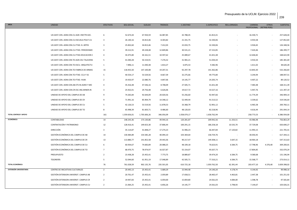| AREA                    | <b>UNIDAD</b>                            | <b>EFECTIVOS</b>        | SEG.SOCIAL   | SUELDO       | <b>TRIENIOS</b> | <b>C.DESTINO</b> | C.ESPECIFICO | REG.JORNADA | CARRERA    | <b>OTROS</b><br>PROFESIONAL (RETRIB.PERS) | <b>SUBTOTAL</b> |
|-------------------------|------------------------------------------|-------------------------|--------------|--------------|-----------------|------------------|--------------|-------------|------------|-------------------------------------------|-----------------|
|                         | UD.GEST.CEN.-ADM.CEN.CU-AGR. ENF/TR.SOC. | 6                       | 52.673,44    | 67.934,59    | 16.087,85       | 42.788,45        | 61.813,41    |             | 16.330,71  |                                           | 257.628,44      |
|                         | UD.GEST.CEN.-ADM.CEN.CU-ESCUELA POLIT.CU | $\overline{\mathbf{3}}$ | 26.140,16    | 34.813,46    | 8.303,82        | 21.331,75        | 32.330,06    |             | 4.933,58   |                                           | 127.852,83      |
|                         | UD.GEST.CEN.-ADM.CEN.CU-FTAD. B. ARTES   | $\overline{\mathbf{3}}$ | 25.832,60    | 34.813,46    | 7.412,03        | 22.033,75        | 32.330,06    |             | 3.926,65   |                                           | 126.348,56      |
|                         | UD.GEST.CEN.-ADM.CEN.CU-FTAD. PERIODISMO | $\overline{4}$          | 39.212,91    | 49.228,48    | 12.849,86       | 30.531,21        | 47.152,85    |             | 7.424,46   |                                           | 186.399,77      |
|                         | UD.GEST.CEN.-ADM.CEN.CU-FTAD.EDUCACION C | $\overline{4}$          | 34.475,80    | 44.161,51    | 10.597,62       | 25.089,67        | 41.651,48    |             | 12.646,82  |                                           | 168.622,90      |
|                         | UD.GEST.CEN.-ADM.CEN.TO-AGR.CEU TALAVERA | 5                       | 41.040,28    | 50.154,91    | 7.276,52        | 31.965,21        | 51.034,44    |             | 3.910,34   | $\overline{\phantom{a}}$                  | 185.381,69      |
|                         | UD.GEST.CEN.-ADM.CEN.TO-ESCU. ARQUITECTU | $\mathbf{1}$            | 7.896,11     | 11.040,38    | 1.814,27        | 6.875,53         | 9.382,96     |             | 1.611,02   | $\overline{\phantom{a}}$                  | 38.620,28       |
|                         | UD.GEST.CEN.-ADM.CEN.TO-FABRICA DE ARMAS | 15                      | 118.455,50   | 147.100,08   | 19.207,31       | 92.297,78        | 141.362,86   |             | 13.843,30  | $\overline{\phantom{a}}$                  | 532.266,83      |
|                         | UD.GEST.CEN.-ADM.CEN.TO-FTAD. CCJJ Y SS  | -5                      | 40.554,17    | 53.529,56    | 8.667,39        | 32.275,66        | 49.775,80    |             | 3.244,94   |                                           | 188.047,51      |
|                         | UD.GEST.CEN.-ADM.CEN.TO-FTAD. HUM.       | $\overline{2}$          | 19.433,97    | 22.080,76    | 4.847,06        | 14.145,77        | 24.205,74    |             | 4.407,22   | $\sim$                                    | 89.120,52       |
|                         | UD.GEST.CEN.-ADM-CEN.AB-ETS IN.AGRO Y MO | $\overline{4}$          | 35.416,48    | 47.546,16    | 8.708,09        | 27.505,71        | 41.651,48    |             | 7.483,48   | $\overline{\phantom{a}}$                  | 168.311,39      |
|                         | UD.GEST.CEN.-ADM-CEN.CR-ESC.ING.MINER.IN | $\overline{\mathbf{3}}$ | 25.922,01    | 29.756,48    | 6.626,06        | 19.617,72        | 33.527,16    |             | 5.947,76   | $\overline{\phantom{a}}$                  | 121.397,19      |
|                         | UNIDAD DE APOYO DEL CAMPUS DE AB         | 9                       | 74.265,84    | 92.644,09    | 20.020,56       | 55.256,60        | 92.947,66    | $\sim$      | 11.774,39  |                                           | 346.909,14      |
|                         | UNIDAD DE APOYO DEL CAMPUS DE CR         | 9                       | 71.991,16    | 85.904,79    | 14.348,12       | 52.449,44        | 91.513,52    |             | 3.339,62   | $\sim$                                    | 319.546,64      |
|                         | UNIDAD DE APOYO DEL CAMPUS DE CU         | 5                       | 42.126,53    | 53.519,56    | 11.878,53       | 33.368,79        | 52.901,12    |             | 6.965,58   |                                           | 200.760,11      |
|                         | UNIDAD DE APOYO DEL CAMPUS DE TO         | 8                       | 65.998,39    | 81.603,71    | 8.486,60        | 48.120,03        | 82.218,96    |             | 4.616,44   |                                           | 291.044,14      |
| TOTAL CENTROS Y APOYO   |                                          | 161                     | 1.359.656,01 | 1.705.606,26 | 346.056,09      | 1.058.079,17     | 1.658.762,94 | $\sim$      | 258.773,53 | $\sim$                                    | 6.386.934,00    |
| ECONÓMICA               | CONTABILIDAD                             | 14                      | 148.243,36   | 173.130,86   | 49.944,16       | 120.281,87       | 209.942,56   | 11.333,51   | 43.986,98  |                                           | 756.863,29      |
|                         | CONTRATACIÓN Y PATRIMONIO                | 12                      | 128.416,41   | 149.653,30   | 37.806,44       | 100.291,15       | 186.258,18   | 10.535,70   | 37.729,08  |                                           | 650.690,27      |
|                         | DIRECCIÓN                                | $\overline{\mathbf{3}}$ | 35.114,87    | 41.848,27    | 17.274,23       | 31.906,23        | 66.447,84    | 17.120,82   | 11.993,15  |                                           | 221.705,41      |
|                         | GESTIÓN ECONÓMICA DEL CAMPUS DE AB       | 14                      | 130.484,89   | 154.585,28   | 40.094,10       | 103.369,64       | 158.759,76   | $\sim$      | 30.050,45  |                                           | 617.344,11      |
|                         | GESTIÓN ECONÓMICA DEL CAMPUS DE CR       | 13                      | 113.880,77   | 141.852,58   | 29.443,36       | 90.217,47        | 149.308,11   | 3.647,15    | 18.964,18  | $\sim$                                    | 547.313,63      |
|                         | GESTIÓN ECONÓMICA DEL CAMPUS DE CU       | 6                       | 60.934,67    | 74.683,89    | 20.088,25       | 48.109,18        | 76.623,91    | 6.584,75    | 17.798,96  | 4.376,40                                  | 309.200,01      |
|                         | GESTIÓN ECONÓMICA DEL CAMPUS DE TO       | $\overline{7}$          | 68.470,75    | 78.974,97    | 16.027,87       | 55.154,07        | 95.637,73    | $\sim$      | 17.804,85  |                                           | 332.070,24      |
|                         | PRESUPUESTO                              | $\overline{2}$          | 23.438,28    | 25.455,41    | 7.773,75        | 18.889,87        | 39.474,20    | 6.584,75    | 9.580,68   |                                           | 131.196,94      |
|                         | TESORERÍA                                | 5                       | 52.044,60    | 61.951,19    | 17.048,89       | 42.505,71        | 77.310,21    | 6.584,75    | 15.568,77  |                                           | 273.014,11      |
| <b>TOTAL ECONÓMICA</b>  |                                          | 76                      | 761.028,59   | 902.135,76   | 235.501,05      | 610.725,18       | 1.059.762,50 | 62.391,44   | 203.477,10 | 4.376,40                                  | 3.839.398,02    |
| EXTENSIÓN UNIVERSITARIA | CENTRO DE INICIATIVAS CULTURALES         | $\overline{2}$          | 20.445,13    | 25.455,41    | 5.689,29        | 15.944,48        | 24.140,20    | 4.178,74    | 4.144,92   |                                           | 99.998,16       |
|                         | GESTIÓN EXTENSION UNIVERSIT. CAMPUS AB   | $\overline{2}$          | 20.701,47    | 25.455,41    | 2.059,89        | 17.658,51        | 28.465,47    | 4.463,81    | 2.447,38   |                                           | 101.251,92      |
|                         | GESTIÓN EXTENSION UNIVERSIT. CAMPUS CR   | $\overline{2}$          | 19.947,83    | 25.455,41    | 6.059,00        | 15.859,80        | 24.561,03    | 4.084,00    | 1.598,78   |                                           | 97.565,84       |
|                         | GESTIÓN EXTENSION UNIVERSIT. CAMPUS CU   | $\overline{2}$          | 21.064,25    | 25.455,41    | 6.856,26        | 14.145,77        | 24.561,03    | 3.798,93    | 7.144,67   |                                           | 103.026,31      |
|                         |                                          |                         |              |              |                 |                  |              |             |            |                                           |                 |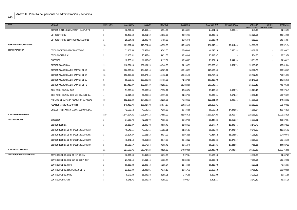| AREA                                 | <b>UNIDAD</b>                            | <b>EFECTIVOS</b>        | SEG.SOCIAL   | SUELDO       | <b>TRIENIOS</b> | C.DESTINO  | <b>C.ESPECIFICO</b> | REG.JORNADA              | CARRERA<br>PROFESIONAL | <b>OTROS</b><br>(RETRIB.PERS) | <b>SUBTOTAL</b> |
|--------------------------------------|------------------------------------------|-------------------------|--------------|--------------|-----------------|------------|---------------------|--------------------------|------------------------|-------------------------------|-----------------|
|                                      | GESTIÓN EXTENSION UNIVERSIT. CAMPUS TO   | $\overline{2}$          | 18.794,84    | 25.455,41    | 3.594,56        | 15.288,31  | 24.561,03           | 3.989,02                 | 243,36                 |                               | 91.926,53       |
|                                      | UD. DE EXT. UNIV.                        | -5                      | 50.489,60    | 61.951,19    | 13.012,65       | 43.949,13  | 66.220,36           |                          | 13.526,62              |                               | 249.149,55      |
|                                      | UD. DE EXT. UNIV.-SERV. DE PUBLICACIONES | $\overline{3}$          | 29.594,32    | 36.495,78    | 6.480,98        | 25.063,40  | 37.836,00           |                          | 4.982,56               |                               | 140.453,04      |
| TOTAL EXTENSIÓN UNIVERSITARIA        |                                          | 18                      | 181.037,44   | 225.724,00   | 43.752,63       | 147.909,38 | 230.345,11          | 20.514,48                | 34.088,29              |                               | 883.371,34      |
| <b>GESTIÓN ACADÉMICA</b>             | CENTRO DE ESTUDIOS DE POSTGRADO          | $\overline{\mathbf{3}}$ | 31.109,64    | 38.473,62    | 5.763,55        | 25.063,40  | 46.043,29           | 3.950,95                 | 3.498,87               | $\sim$                        | 153.903,33      |
|                                      | <b>CENTRO DE LENGUAS</b>                 | $\overline{2}$          | 19.163,51    | 25.455,41    | 6.051,58        | 15.944,48  | 25.319,87           | $\sim$                   | 1.794,86               |                               | 93.729,70       |
|                                      | DIRECCIÓN                                | 1                       | 12.765,91    | 16.392,87    | 6.197,81        | 13.586,85  | 29.964,15           | 7.344,98                 | 5.131,63               |                               | 91.384,19       |
|                                      | GESTIÓN ACADÉMICA                        | 11                      | 110.824,14   | 130.181,29   | 44.346,68       | 91.130,53  | 153.063,32          | 6.584,75                 | 32.485,92              |                               | 568.616,64      |
|                                      | GESTIÓN ACADÉMICA DEL CAMPUS DE AB       | 20                      | 186.659,81   | 234.316,15   | 58.907,71       | 156.164,79 | 225.103,49          | $\sim$                   | 38.417,70              |                               | 899.569,67      |
|                                      | GESTIÓN ACADÉMICA DEL CAMPUS DE CR       | 18                      | 156.298,83   | 195.372,15   | 45.412,11       | 128.631,10 | 198.764,46          | $\overline{\phantom{a}}$ | 29.432,28              |                               | 753.910,93      |
|                                      | GESTIÓN ACADÉMICA DEL CAMPUS DE CU       | 9                       | 90.663,21    | 107.805,02   | 34.411,66       | 71.627,05  | 113.213,70          | $\sim$                   | 29.140,12              |                               | 446.860,76      |
|                                      | GESTIÓN ACADÉMICA DEL CAMPUS DE TO       | 18                      | 157.413,37   | 192.007,49   | 38.282,97       | 125.824,51 | 203.545,55          | $\sim$                   | 26.632,29              |                               | 743.706,18      |
|                                      | ORD. ACAD. E INNOV. DOC.                 | 5                       | 51.876,81    | 58.586,54    | 17.350,77       | 42.856,56  | 79.496,62           | 6.584,75                 | 13.221,42              |                               | 269.973,47      |
|                                      | ORD. ACAD. E INNOV. DOC.-UD. EDU. MÉDICA | $\overline{a}$          | 42.014,42    | 51.206,33    | 10.777,97       | 31.237,36  | 53.820,61           | 5.571,89                 | 5.096,40               |                               | 199.724,97      |
|                                      | PROMOC. DE EMPLEO Y RELAC. CON EMPRESAS  | 10                      | 102.162,39   | 134.026,33   | 18.239,56       | 76.302,32  | 122.021,89          | 6.990,51                 | 14.581,53              |                               | 474.324,52      |
|                                      | RELACIONES INTERNACIONALES               | 14                      | 141.435,74   | 159.917,78   | 24.674,27       | 104.246,71 | 200.856,91          | $\sim$                   | 22.662,10              |                               | 653.793,52      |
|                                      | UNIDAD TÉC.DE ACREDITACIÓN, SEGUIMIE.EVA | $\overline{4}$          | 42.506,52    | 47.536,16    | 7.268,38        | 29.434,08  | 60.590,18           | 14.891,92                | 6.515,07               |                               | 208.742,31      |
| TOTAL GESTIÓN ACADÉMICA              |                                          | 119                     | 1.144.894,31 | 1.391.277,14 | 317.685,02      | 912.049,75 | 1.511.804,04        | 51.919,75                | 228.610,19             |                               | 5.558.240,20    |
| <b>INFRAESTRUCTURAS</b>              | DIRECCIÓN                                | $\overline{3}$          | 34.539,73    | 42.143,79    | 7.685,78        | 30.107,10  | 66.447,84           | 16.411,39                | 5.337,91               |                               | 202.673,54      |
|                                      | <b>GESTIÓN TÉCNICA</b>                   | $\overline{\mathbf{3}}$ | 30.336,87    | 36.495,78    | 3.810,48        | 22.033,33  | 38.877,59           | 10.890,42                | 2.147,76               |                               | 144.592,22      |
|                                      | GESTIÓN TÉCNICA DE INFRAESTR. CAMPUS AB  | $\mathbf{A}$            | 40.643,15    | 47.536,16    | 11.352,31       | 31.236,93  | 55.025,84           | 14.891,67                | 9.549,06               |                               | 210.235,12      |
|                                      | GESTIÓN TÉCNICA DE INFRAESTR. CAMPUS CR  | $\overline{\mathbf{3}}$ | 31.264,27    | 33.121,13    | 8.624,55        | 23.962,55  | 43.434,62           | 11.143,91                | 6.358,38               |                               | 157.909,41      |
|                                      | GESTIÓN TÉCNICA DE INFRAESTR. CAMPUS CU  | $\overline{a}$          | 40.271,13    | 45.853,83    | 8.047,78        | 29.438,22  | 55.025,84           | 13.878,69                | 2.909,66               |                               | 195.425,15      |
|                                      | GESTIÓN TÉCNICA DE INFRAESTR. CAMPUS TO  | -5                      | 50.630,57    | 58.576,54    | 9.308,42        | 38.112,46  | 66.617,06           | 17.222,05                | 4.460,12               |                               | 244.927,22      |
| TOTAL INFRAESTRUCTURAS               |                                          | 22                      | 227.685,71   | 263.727,24   | 48.829,32       | 174.890,59 | 325.428,78          | 84.438,13                | 30.762,89              | $\sim$                        | 1.155.762,65    |
| <b>INVESTIGACIÓN Y DEPARTAMENTOS</b> | CENTROS DE DOC.-CEN. DE EST. DE CLM      | $\mathbf{1}$            | 10.557,50    | 14.415,03    | 4.096,08        | 7.972,24   | 11.186,38           | $\sim$                   | 3.410,06               |                               | 51.637,29       |
|                                      | CENTROS DE DOC.-CEN. EST. DE COOP. INST. | $\overline{3}$          | 27.702,14    | 34.813,46    | 5.688,44        | 23.832,03  | 36.096,98           |                          | 7.359,52               |                               | 135.492,58      |
|                                      | CENTROS DE DOC.-CEPLI                    | $\overline{2}$          | 16.226,00    | 20.398,43    | 5.259,04        | 13.444,19  | 19.310,70           | $\sim$                   | 4.723,81               |                               | 79.362,17       |
|                                      | CENTROS DE DOC.-ESC. DE TRAD. DE TO      | $\overline{3}$          | 23.269,09    | 31.438,81    | 7.371,19        | 19.617,72  | 23.856,60           | $\sim$                   | 2.455,45               |                               | 108.008,86      |
|                                      | CENTROS DE DOC.-MIDE                     | 1                       | 8.078,40     | 11.040,38    | 2.298,51        | 5.471,95   | 9.283,00            |                          | 3.339,62               |                               | 39.511,86       |
|                                      | <b>CENTROS DE INV.-CRIB</b>              | 1                       | 8.841,71     | 11.040,38    | 3.295,82        | 7.972,24   | 9.451,65            | $\sim$                   | 2.643,46               |                               | 43.245,26       |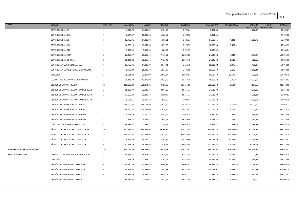| AREA                                | <b>UNIDAD</b>                            | <b>EFECTIVOS</b>        | SEG.SOCIAL   | <b>SUELDO</b> | <b>TRIENIOS</b> | C.DESTINO    | <b>C.ESPECIFICO</b> | REG.JORNADA | CARRERA                  | <b>OTROS</b><br>PROFESIONAL (RETRIB.PERS) | <b>SUBTOTAL</b> |
|-------------------------------------|------------------------------------------|-------------------------|--------------|---------------|-----------------|--------------|---------------------|-------------|--------------------------|-------------------------------------------|-----------------|
|                                     | CENTROS DE INV.-I3A                      | 1                       | 9.815,70     | 14.415,03     | 4.121,49        | 7.972,24     | 9.451,65            | $\sim$      | 2.232,97                 | $\sim$                                    | 48.009,07       |
|                                     | CENTROS DE INV.-ICAM                     | 1                       | 8.844,67     | 11.040,38     | 1.682,76        | 6.173,53     | 9.451,65            | $\sim$      | $\sim$                   | $\sim$                                    | 37.192,98       |
|                                     | CENTROS DE INV.-IDR                      | $\mathbf{1}$            | 12.765,91    | 14.415,03     | 5.618,61        | 9.686,27     | 14.688,55           | 4.843,74    | 3.289,70                 | $\sim$                                    | 65.307,80       |
|                                     | CENTROS DE INV.-INEI                     | $\mathbf{1}$            | 10.866,10    | 11.040,38     | 2.059,89        | 6.173,53     | 12.066,03           | 3.487,42    | $\overline{\phantom{a}}$ | $\sim$                                    | 45.693,35       |
|                                     | CENTROS DE INV.-IREC                     | 1                       | 7.249,25     | 9.358,05      | 280,46          | 5.471,95     | 8.124,32            | $\sim$      |                          | $\sim$                                    | 30.484,04       |
|                                     | CENTROS DE INV.-IRICA                    | $\overline{2}$          | 20.450,57    | 25.455,41     | 7.410,32        | 15.859,80    | 24.140,20           | 4.843,74    | 3.891,97                 | $\sim$                                    | 102.051,99      |
|                                     | CENTROS DE INV.-ITQUIMA                  | $\overline{2}$          | 19.224,02    | 25.455,41     | 7.422,46        | 15.944,48    | 24.140,20           | 1.522,41    | 316,68                   | $\overline{\phantom{a}}$                  | 94.025,65       |
|                                     | CENTROS EXP.-CEN. DE EXP. ANIMAL         | 1                       | 12.765,91    | 14.415,03     | 2.177,41        | 9.114,78     | 18.013,08           | 6.078,51    | 1.478,17                 | $\overline{\phantom{a}}$                  | 64.042,89       |
|                                     | CENTROS EXP.-ESTAC. DE EXP. AGROFORESTAL | 1                       | 8.780,09     | 11.040,38     | 1.814,27        | 5.471,95     | 10.656,59           | 3.100,15    | 2.080,44                 | $\sim$                                    | 42.943,88       |
|                                     | DIRECCIÓN                                | $\overline{2}$          | 25.531,82    | 30.807,90     | 12.672,64       | 23.933,57    | 50.687,57           | 13.676,36   | 7.390,93                 | $\sim$                                    | 164.700,79      |
|                                     | ESCUELA INTERNACIONAL DE DOCTORADO       | $\overline{\mathbf{3}}$ | 35.148,29    | 43.245,08     | 13.027,22       | 29.147,19    | 48.063,62           | 3.950,95    | 8.231,68                 | $\epsilon$                                | 180.814,03      |
|                                     | GESTIÓN DE LA INVESTIGACIÓN              | 18                      | 185.006,23   | 231.372,01    | 48.781,05       | 146.156,09   | 258.538,40          | 6.584,75    | 46.104,56                | $\sim$                                    | 922.543,09      |
|                                     | GESTIÓN DE LA INVESTIGACIÓN CAMPUS DE AB | $\overline{2}$          | 18.352,77    | 22.080,76     | 3.067,63        | 14.145,77    | 24.532,90           | $\sim$      | 1.575,86                 | $\sim$                                    | 83.755,68       |
|                                     | GESTIÓN DE LA INVESTIGACIÓN CAMPUS DE CR | $\overline{2}$          | 17.600,23    | 20.398,43     | 4.189,47        | 14.145,77    | 24.532,90           | $\sim$      | 5.216,84                 | $\sim$                                    | 86.083,63       |
|                                     | GESTIÓN DE LA INVESTIGACIÓN CAMPUS DE TO | $\mathbf{1}$            | 9.624,15     | 11.040,38     | 1.945,79        | 7.972,24     | 13.670,10           | $\sim$      | 2.819,54                 | $\sim$                                    | 47.072,20       |
|                                     | GESTIÓN DEPARTAMENTOS CAMPUS AB          | 13                      | 109.567,24   | 148.591,89    | 25.677,30       | 88.284,24    | 121.978,47          | 9.612,07    | 20.331,06                | $\sim$                                    | 524.042,27      |
|                                     | GESTIÓN DEPARTAMENTOS CAMPUS CR          | 12                      | 100.910,18   | 124.072,90    | 26.876,82       | 84.874,61    | 112.595,52          | 9.118,31    | 11.709,80                | $\sim$                                    | 470.158,14      |
|                                     | GESTIÓN DEPARTAMENTOS CAMPUS CU          | 1                       | 8.541,50     | 11.040,38     | 2.357,77        | 7.972,24     | 9.382,96            | 835,87      | 1.646,18                 | $\sim$                                    | 41.776,89       |
|                                     | GESTIÓN DEPARTAMENTOS CAMPUS TO          | $\overline{\mathbf{3}}$ | 22.543,77    | 29.756,48     | 1.682,76        | 18.520,59    | 28.148,88           | 2.051,55    | 2.080,44                 | $\sim$                                    | 104.784,46      |
|                                     | OTRI - OFIC. DE TRANSF. DE RES. DE INV.  | -5                      | 59.987,48    | 72.656,17     | 21.143,11       | 43.949,13    | 78.542,43           | 7.598,10    | 11.488,68                | $\sim$                                    | 295.365,10      |
|                                     | TÉCNICOS DE LABORATORIO CAMPUS DE AB     | 30                      | 301.971,22   | 339.662,96    | 90.266,31       | 209.781,05   | 355.950,42          | 115.087,09  | 62.446,49                | $\sim$                                    | 1.475.165,54    |
|                                     | TÉCNICOS DE LABORATORIO CAMPUS DE CR     | 34                      | 340.650,78   | 397.313,07    | 81.917,22       | 232.630,48   | 400.182,58          | 121.593,02  | 61.039,99                | $\sim$                                    | 1.635.327,14    |
|                                     | TÉCNICOS DE LABORATORIO CAMPUS DE CU     | 8                       | 79.244,29    | 95.072,32     | 18.291,39       | 54.389,66    | 95.118,79           | 30.224,48   | 15.246,87                | $\sim$                                    | 387.587,81      |
|                                     | TÉCNICOS DE LABORATORIO CAMPUS DE TO     | 9                       | 87.945,50    | 99.373,40     | 18.316,96       | 65.652,44    | 107.184,82          | 29.174,41   | 10.098,07                | $\epsilon$                                | 417.745,59      |
| TOTAL INVESTIGACIÓN Y DEPARTAMENTOS |                                          | 165                     | 1.608.062,50 | 1.936.265,67  | 430.810,18      | 1.201.733,97 | 1.969.027,93        | 373.382,91  | 304.648,84               | $\sim$                                    | 7.823.932,01    |
| RRHH Y ADMINISTRATIVA               | DESARROLLO PROFESIONAL Y ACCIÓN SOCIAL   | $\overline{4}$          | 40.873,81    | 45.853,83     | 13.514,45       | 30.535,35    | 61.077,13           | 6.584,75    | 13.221,42                | $\sim$                                    | 211.660,75      |
|                                     | <b>DIRECCIÓN</b>                         | $\overline{2}$          | 21.161,50    | 27.433,25     | 3.791,91        | 20.462,38    | 40.582,90           | 10.384,17   | 4.938,85                 | $\sim$                                    | 128.754,96      |
|                                     | GESTIÓN ADMINISTRATIVA CAMPUS AB         | 9                       | 80.950,50    | 97.986,59     | 19.800,36       | 61.097,41    | 96.479,25           | 7.599,20    | 15.055,79                | $\overline{\phantom{a}}$                  | 378.969,10      |
|                                     | GESTIÓN ADMINISTRATIVA CAMPUS CR         | 9                       | 83.745,98    | 97.691,07     | 32.582,53       | 62.451,58    | 104.075,07          | 4.843,98    | 18.612,98                | $\sim$                                    | 404.003,20      |
|                                     | GESTIÓN ADMINISTRATIVA CAMPUS CU         | -6                      | 58.517,59    | 76.661,73     | 19.479,06       | 44.681,12    | 71.682,74           | 4.938,96    | 15.280,86                | $\sim$                                    | 291.242,07      |
|                                     | GESTIÓN ADMINISTRATIVA CAMPUS TO         | $\overline{7}$          | 65.987,94    | 77.302,64     | 13.521,45       | 51.515,39    | 89.871,75           | 4.654,02    | 11.245,00                |                                           | 314.098,18      |
|                                     |                                          |                         |              |               |                 |              |                     |             |                          |                                           |                 |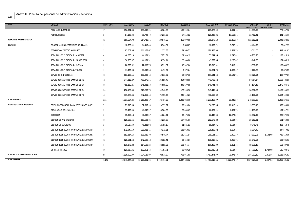| AREA                               | <b>UNIDAD</b>                            | <b>EFECTIVOS</b>        | SEG.SOCIAL    | <b>SUELDO</b> | <b>TRIENIOS</b> | <b>C.DESTINO</b> | <b>C.ESPECIFICO</b> | REG.JORNADA              | CARRERA<br>PROFESIONAL (RETRIB.PERS) | <b>OTROS</b> | <b>SUBTOTAL</b> |
|------------------------------------|------------------------------------------|-------------------------|---------------|---------------|-----------------|------------------|---------------------|--------------------------|--------------------------------------|--------------|-----------------|
|                                    | RECURSOS HUMANOS                         | 17                      | 156.321,36    | 193.048,91    | 48.984,83       | 130.922,04       | 205.073,22          | 7.091,61                 | 31.895,80                            |              | 773.337,78      |
|                                    | <b>RETRIBUCIONES</b>                     | 8                       | 84.126,03     | 98.742,49     | 29.266,00       | 67.213,82        | 126.236,06          | 13.169,51                | 22.412,21                            |              | 441.166,11      |
| TOTAL RRHH Y ADMINISTRATIVA        |                                          | 62                      | 591.684,70    | 714.720,51    | 180.940,59      | 468.879,09       | 795.078,13          | 59.266,20                | 132.662,91                           |              | 2.943.232,13    |
| <b>SERVICIOS</b>                   | COORDINACIÓN DE SERVICIOS GENERALES      | $\mathbf{1}$            | 12.765,91     | 14.415,03     | 6.764,01        | 9.686,27         | 18.932,71           | 3.798,93                 | 4.464,50                             |              | 70.827,35       |
|                                    | PREVENCIÓN Y MEDIO AMBIENTE              | 9                       | 85.862,05     | 111.179,67    | 12.953,39       | 71.369,73        | 120.439,80          | 6.584,75                 | 9.561,65                             |              | 417.951,05      |
|                                    | SERV. REPROG. Y DIGITALIZ.-ALBACETE      |                         | 40.058,10     | 44.161,51     | 17.279,51       | 24.343,12        | 53.041,35           | 6.743,02                 | 10.299,58                            |              | 195.926,18      |
|                                    | SERV. REPROG. Y DIGITALIZ.-CIUDAD REAL   | 4                       | 36.906,57     | 44.161,51     | 5.370,14        | 22.983,80        | 49.652,85           | 6.268,47                 | 9.142,78                             |              | 174.486,12      |
|                                    | SERV. REPROG. Y DIGITALIZ.-CUENCA        | $\overline{2}$          | 20.625,62     | 22.080,76     | 8.791,62        | 12.347,06        | 27.618,81           | 3.419,12                 | 5.997,96                             |              | 100.880,95      |
|                                    | SERV. REPROG. Y DIGITALIZ.-TOLEDO        | 1                       | 11.423,06     | 11.040,38     | 4.473,07        | 7.972,24         | 16.601,79           | 2.089,37                 | 2.270,86                             |              | 55.870,75       |
|                                    | SERVICIO CONDUCTORES                     | 10                      | 103.197,11    | 107.039,13    | 19.863,62       | 62.087,30        | 117.541,54          | 70.121,74                | 10.926,64                            |              | 490.777,07      |
|                                    | SERVICIOS GENERALES CAMPUS DE AB         | 45                      | 344.312,27    | 453.076,51    | 105.559,47      | 254.988,96       | 443.782,42          | $\sim$                   | 57.764,87                            |              | 1.659.484,51    |
|                                    | SERVICIOS GENERALES CAMPUS DE CR         | 66                      | 495.139,25    | 641.421,53    | 94.069,93       | 349.177,99       | 641.741,34          |                          | 54.184,39                            |              | 2.275.734,43    |
|                                    | SERVICIOS GENERALES CAMPUS DE CU         | 34                      | 250.186,45    | 328.267,70    | 42.542,98       | 177.955,50       | 345.444,48          |                          | 38.837,22                            |              | 1.183.234,33    |
|                                    | SERVICIOS GENERALES CAMPUS DE TO         | 46                      | 337.078,46    | 442.365,43    | 74.799,35       | 246.112,23       | 438.659,89          | $\overline{\phantom{a}}$ | 45.106,63                            |              | 1.584.122,00    |
| <b>TOTAL SERVICIOS</b>             |                                          | 222                     | 1.737.554,84  | 2.219.209,17  | 392.467,09      | 1.239.024,19     | 2.273.456,97        | 99.025,39                | 248.557,08                           |              | 8.209.294,73    |
| <b>TECNOLOGÍA Y COMUNICACIONES</b> | CENTRO DE TECNOLOGÍAS Y CONTENIDOS DIGIT | $\overline{7}$          | 73.910,58     | 82.635,14     | 23.355.37       | 50.324,86        | 96.258.05           | 11.016.98                | 13.093,90                            |              | 350.594,88      |
|                                    | DESARROLLO DE SERVICIOS                  | $\overline{\mathbf{3}}$ | 35.475,53     | 41.848,27     | 10.504,80       | 28.004,65        | 60.924,91           | 6.584,75                 | 11.185,00                            |              | 194.527,91      |
|                                    | <b>DIRECCIÓN</b>                         | $\overline{3}$          | 35.350,18     | 41.848,27     | 14.824,21       | 32.476,72        | 66.447,84           | 17.273,09                | 12.352,39                            |              | 220.572,70      |
|                                    | GESTIÓN DE APLICACIONES                  | 11                      | 129.590,56    | 163.683,05    | 53.230,98       | 107.081,01       | 202.572,80          | 6.584,75                 | 29.217,81                            |              | 691.960,96      |
|                                    | <b>GESTIÓN DE SERVICIOS</b>              | 3                       | 36.637,49     | 45.222,92     | 12.781,17       | 31.521,53        | 60.924,91           | 6.584,75                 | 9.745,72                             |              | 203.418,49      |
|                                    | GESTIÓN TECNOLOGÍA Y COMUNIC. CAMPUS AB  | 17                      | 172.947,69    | 209.912,16    | 53.372,21       | 133.913,13       | 228.395,32          | 6.154,15                 | 42.854,96                            |              | 847.549,62      |
|                                    | GESTIÓN TECNOLOGÍA Y COMUNIC. CAMPUS CR  | 16                      | 153.214,14    | 180.020,70    | 33.846,74       | 116.111,54       | 215.621,15          | 2.469,30                 | 27.697,52                            | 1.132,08     | 730.113,16      |
|                                    | GESTIÓN TECNOLOGÍA Y COMUNIC. CAMPUS CU  | 12                      | 125.521,52    | 142.608,48    | 30.382,41       | 92.652,07        | 170.918,61          | 5.956,72                 | 25.947,12                            |              | 593.986,93      |
|                                    | GESTIÓN TECNOLOGÍA Y COMUNIC. CAMPUS TO  | 14                      | 136.375,88    | 164.689,24    | 32.985,66       | 102.755,74       | 191.489,09          | 5.861,86                 | 19.530,48                            |              | 653.687,95      |
|                                    | SISTEMAS Y REDES                         | 10                      | 121.927,41    | 152.061,64    | 36.787,71       | 99.020,38        | 193.919,12          | 6.584,75                 | 24.758,35                            | 1.729,08     | 636.788,43      |
| TOTAL TECNOLOGÍA Y COMUNICACIONES  |                                          | 96                      | 1.020.950,97  | 1.224.529,89  | 302.071,27      | 793.861,61       | 1.487.471,77        | 75.071,10                | 216.383,25                           | 2.861,16     | 5.123.201,03    |
| <b>TOTAL GENERAL</b>               |                                          | 1.147                   | 10.841.244,63 | 13.209.391,95 | 2.950.474,91    | 8.347.684,02     | 14.453.815,16       | 1.327.973,17             | 2.127.779,63                         | 7.237,56     | 53.265.601,02   |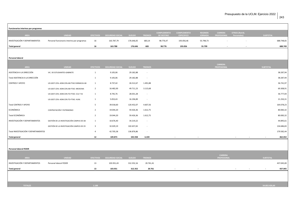| Funcionarios interinos por programas |                                             |                         |                         |               |                          |                    |                          |                |                                      |                          |                 |            |
|--------------------------------------|---------------------------------------------|-------------------------|-------------------------|---------------|--------------------------|--------------------|--------------------------|----------------|--------------------------------------|--------------------------|-----------------|------------|
|                                      |                                             |                         |                         |               |                          | <b>COMPLEMENTO</b> | <b>COMPLEMENTO</b>       | <b>REGIMEN</b> | <b>CARRERA</b>                       | <b>OTROS</b> (Retrib.    |                 |            |
| AREA                                 | <b>UNIDAD</b>                               | <b>EFECTIVOS</b>        | <b>SEGURIDAD SOCIAL</b> | <b>SUELDO</b> | <b>TRIENIOS</b>          | <b>DE DESTINO</b>  | <b>ESPECIFICO</b>        | <b>JORNADA</b> | <b>PROFESIONAL</b>                   | Personales)              | <b>SUBTOTAL</b> |            |
| INVESTIGACIÓN Y DEPARTAMENTOS        | Personal funcionario interino por programas | 16                      | 163.787,79              | 176.646,05    | 683,14                   | 98.776,47          | 193.056,46               | 55.798,73      |                                      |                          |                 | 688.748,65 |
| <b>Total general</b>                 |                                             | 16                      | 163.788                 | 176.646       | 683                      | 98.776             | 193.056                  | 55.799         |                                      | $\overline{\phantom{a}}$ |                 | 688.749    |
|                                      |                                             |                         |                         |               |                          |                    |                          |                |                                      |                          |                 |            |
| <b>Personal laboral</b>              |                                             |                         |                         |               |                          |                    |                          |                |                                      |                          |                 |            |
| <b>AREA</b>                          | <b>UNIDAD</b>                               | <b>EFECTIVOS</b>        | <b>SEGURIDAD SOCIAL</b> | <b>SUELDO</b> | <b>TRIENIOS</b>          |                    |                          |                | <b>CARRERA</b><br><b>PROFESIONAL</b> |                          | <b>SUBTOTAL</b> |            |
| ASISTENCIA A LA DIRECCIÓN            | VIC. DE ESTUDIANTES-GABINETE                | 1                       | 9.105,06                | 29.182,88     | $\overline{\phantom{a}}$ |                    |                          |                |                                      |                          |                 | 38.287,94  |
| Total ASISTENCIA A LA DIRECCIÓN      |                                             | $\mathbf{1}$            | 9.105,06                | 29.182,88     | $\sim$                   |                    |                          |                |                                      |                          |                 | 38.287,94  |
| <b>CENTROS Y APOYO</b>               | UD.GEST.CEN.-ADM.CEN.AB.FTAD.FARMACIA AB    | 1                       | 8.737,42                | 26.512,67     | 1.491,88                 |                    |                          |                |                                      |                          |                 | 36.741,97  |
|                                      | UD.GEST.CEN.-ADM.CEN.AB-FTAD. MEDICINA      | $\overline{2}$          | 16.482,00               | 49.711,23     | 3.115,68                 |                    |                          |                |                                      |                          |                 | 69.308,91  |
|                                      | UD.GEST.CEN.-ADM.CEN.TO-FTAD. CCJJ Y SS     | 1                       | 8.745,76                | 28.031,28     | $\overline{\phantom{a}}$ |                    |                          |                |                                      |                          |                 | 36.777,04  |
|                                      | UD.GEST.CEN.-ADM.CEN.TO-FTAD. HUM.          | $\mathbf{1}$            | 5.053,43                | 16.196,89     | $\sim$                   |                    |                          |                |                                      |                          |                 | 21.250,31  |
| Total CENTROS Y APOYO                |                                             | 5                       | 39.018,60               | 120.452,07    | 4.607,56                 |                    |                          |                |                                      |                          |                 | 164.078,23 |
| ECONÓMICA                            | CONTRATACIÓN Y PATRIMONIO                   | $\overline{2}$          | 19.044,20               | 59.426,36     | 1.612,75                 |                    |                          |                |                                      |                          |                 | 80.083,32  |
| Total ECONÓMICA                      |                                             | $\overline{2}$          | 19.044,20               | 59.426,36     | 1.612,75                 |                    |                          |                |                                      |                          |                 | 80.083,32  |
| INVESTIGACIÓN Y DEPARTAMENTOS        | GESTIÓN DE LA INVESTIGACIÓN CAMPUS DE AB    | 1                       | 10.676,40               | 34.219,22     | $\sim$                   |                    |                          |                |                                      |                          |                 | 44.895,61  |
|                                      | GESTIÓN DE LA INVESTIGACIÓN CAMPUS DE CR    | $\overline{\mathbf{3}}$ | 32.029,19               | 102.657,65    | $\sim$                   |                    |                          |                |                                      |                          |                 | 134.686,83 |
| Total INVESTIGACIÓN Y DEPARTAMENTOS  |                                             | $\overline{4}$          | 42.705,58               | 136.876,86    | $\sim$                   |                    |                          |                |                                      |                          |                 | 179.582,44 |
| <b>Total general</b>                 |                                             | 12                      | 109.873                 | 345.938       | 6.220                    |                    | $\overline{\phantom{a}}$ |                |                                      |                          |                 | 462.032    |
|                                      |                                             |                         |                         |               |                          |                    |                          |                |                                      |                          |                 |            |
|                                      |                                             |                         |                         |               |                          |                    |                          |                |                                      |                          |                 |            |
| <b>Personal laboral FEDER</b>        |                                             |                         |                         |               |                          |                    |                          |                |                                      |                          |                 |            |
| AREA                                 | <b>UNIDAD</b>                               | <b>EFECTIVOS</b>        | <b>SEGURIDAD SOCIAL</b> | <b>SUELDO</b> | <b>TRIENIOS</b>          |                    |                          |                | CARRERA<br><b>PROFESIONAL</b>        |                          | <b>SUBTOTAL</b> |            |
| INVESTIGACIÓN Y DEPARTAMENTOS        | Personal laboral FEDER                      | 13                      | 103.931,43              | 312.352,16    | 20.761,41                |                    |                          |                |                                      |                          |                 | 437.045,00 |
| <b>Total general</b>                 |                                             | 13                      | 103.931                 | 312.352       | 20.761                   |                    |                          |                |                                      |                          |                 | 437.045    |
|                                      |                                             |                         |                         |               |                          |                    |                          |                |                                      |                          |                 |            |
|                                      |                                             |                         |                         |               |                          |                    |                          |                |                                      |                          |                 |            |
| <b>TOTALES</b>                       |                                             | 1.188                   |                         |               |                          |                    |                          |                |                                      |                          | 54.853.426,60   |            |
|                                      |                                             |                         |                         |               |                          |                    |                          |                |                                      |                          |                 |            |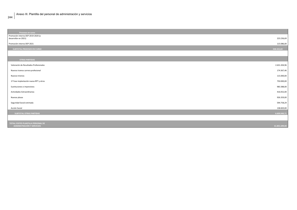Promoción interna OEP 2019-2020 (a desarrollar en 2021) 223.236,69 Promoción interna OEP 2021 115.086,00 **SUBTOTAL PROCESOS EN CURSO 338.322,69 OTRAS PARTIDAS** Valoración de Resultados Profesionales 2.631.204,96 Nuevos tramos carrera profesional 174.367,46 Nuevos trienios 115.000,00 1ª Fase implantación nueva RPT y otros 750.000,00 Sustituciones e imprevistos 983.388,00 Actividades Extraordinarias 416.052,00 Nuevas plazas 926.359,00 Seguridad Social estimada 594.758,29 Acción Social 138.820,00 **SUBTOTAL OTRAS PARTIDAS 6.609.949,71 TOTAL COSTES PLANTILLA PERSONAL DE ADMINISTRACIÓN Y SERVICIOS 61.801.699,00**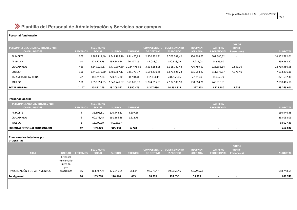## **Plantilla del Personal de Administración y Servicios por campus**

#### **Personal funcionario**

| <b>PERSONAL FUNCIONARIO. TOTALES POR</b><br><b>CAMPUS/SEDES</b> | <b>EFECTIVOS</b> | <b>SEGURIDAD</b><br><b>SOCIAL</b> | <b>SUELDO</b> | <b>TRIENIOS</b> | <b>COMPLEMENTO</b><br><b>DE DESTINO</b> | <b>COMPLEMENTO</b><br><b>ESPECIFICO</b> | <b>REGIMEN</b><br><b>JORNADA</b> | <b>CARRERA</b><br><b>PROFESIONAL</b> | <b>OTROS</b><br>(Retrib.<br>Personales) | <b>SUBTOTAL</b> |
|-----------------------------------------------------------------|------------------|-----------------------------------|---------------|-----------------|-----------------------------------------|-----------------------------------------|----------------------------------|--------------------------------------|-----------------------------------------|-----------------|
| ALBACETE                                                        | 303              | 2.887.112,40                      | 3.548.195,70  | 854.467,93      | 2.220.832,31                            | 3.703.538,42                            | 350.964,62                       | 607.680,62                           | $\overline{\phantom{a}}$                | 14.172.792,01   |
| ALMADEN                                                         | 14               | 123.775,79                        | 139.543,14    | 26.377,16       | 87.088,01                               | 150.813,79                              | 17.285,08                        | 14.985,30                            | $\overline{\phantom{a}}$                | 559.868,27      |
| <b>CIUDAD REAL</b>                                              | 466              | 4.549.229,17                      | 5.470.907,80  | 1.284.475,86    | 3.538.282,98                            | 6.318.781,48                            | 706.789,50                       | 928.158,64                           | 2.861,16                                | 22.799.486,58   |
| CUENCA                                                          | 156              | 1.440.879,50                      | 1.789.767,13  | 385.773,77      | 1.094.430,48                            | 1.871.528,23                            | 115.084,27                       | 311.576,37                           | 4.376,40                                | 7.013.416,16    |
| TALAVERA DE LA REINA                                            | 22               | 181.292,84                        | 220.236,30    | 30.760,41       | 132.134,41                              | 231.555,06                              | 7.185,49                         | 18.467,79                            | $\overline{\phantom{a}}$                | 821.632,30      |
| <b>TOLEDO</b>                                                   | 186              | 1.658.954,93                      | 2.040.741,87  | 368.619,78      | 1.274.915,83                            | 2.177.598,18                            | 130.664,20                       | 246.910,91                           | $\overline{\phantom{a}}$                | 7.898.405,70    |
| <b>TOTAL GENERAL</b>                                            | 1.147            | 10.841.245                        | 13.209.392    | 2.950.475       | 8.347.684                               | 14.453.815                              | 1.327.973                        | 2.127.780                            | 7.238                                   | 53.265.601      |
|                                                                 |                  |                                   |               |                 |                                         |                                         |                                  |                                      |                                         |                 |
| <b>Personal laboral</b>                                         |                  |                                   |               |                 |                                         |                                         |                                  |                                      |                                         |                 |
| PERSONAL LABORAL. TOTALES POR<br><b>CAMPUS/SEDES</b>            | <b>EFECTIVOS</b> | <b>SEGURIDAD</b><br><b>SOCIAL</b> | <b>SUELDO</b> | <b>TRIENIOS</b> |                                         |                                         |                                  | <b>CARRERA</b><br><b>PROFESIONAL</b> |                                         | <b>SUBTOTAL</b> |
| ALBACETE                                                        | 4                | 35.895,81                         | 110.443,11    | 4.607,56        |                                         |                                         |                                  |                                      |                                         | 150.946,48      |
| <b>CIUDAD REAL</b>                                              | 6                | 60.178,45                         | 191.266,89    | 1.612,75        |                                         |                                         |                                  |                                      |                                         | 253.058,09      |
| <b>TOLEDO</b>                                                   | $\overline{2}$   | 13.799,19                         | 44.228,17     | $\blacksquare$  |                                         |                                         |                                  |                                      |                                         | 58.027,36       |
| <b>SUBTOTAL PERSONAL FUNCIONARIO</b>                            | 12               | 109.873                           | 345.938       | 6.220           |                                         |                                         |                                  |                                      |                                         | 462.032         |

**Funcionarios interinos por** 

**programas**

|                               |                                            |                  | <b>SEGURIDAD</b> |               |                 |                   | <b>COMPLEMENTO COMPLEMENTO</b> | <b>REGIMEN</b> | <b>CARRERA</b>                 | <b>OTROS</b><br>(Retrib. |                 |
|-------------------------------|--------------------------------------------|------------------|------------------|---------------|-----------------|-------------------|--------------------------------|----------------|--------------------------------|--------------------------|-----------------|
| <b>AREA</b>                   | <b>UNIDAD</b>                              | <b>EFECTIVOS</b> | <b>SOCIAL</b>    | <b>SUELDO</b> | <b>TRIENIOS</b> | <b>DE DESTINO</b> | <b>ESPECIFICO</b>              | <b>JORNADA</b> | <b>PROFESIONAL Personales)</b> |                          | <b>SUBTOTAL</b> |
|                               | Personal<br>funcionario<br>interino<br>por |                  |                  |               |                 |                   |                                |                |                                |                          |                 |
| INVESTIGACIÓN Y DEPARTAMENTOS | programas                                  | 16               | 163.787,79       | 176.646,05    | 683,14          | 98.776,47         | 193.056,46                     | 55.798,73      | $\overline{\phantom{a}}$       | $\overline{\phantom{a}}$ | 688.748,65      |
| Total general                 |                                            | 16               | 163.788          | 176.646       | 683             | 98.776            | 193.056                        | 55.799         | $\,$ $\,$                      | $\sim$                   | 688.749         |
|                               |                                            |                  |                  |               |                 |                   |                                |                |                                |                          |                 |